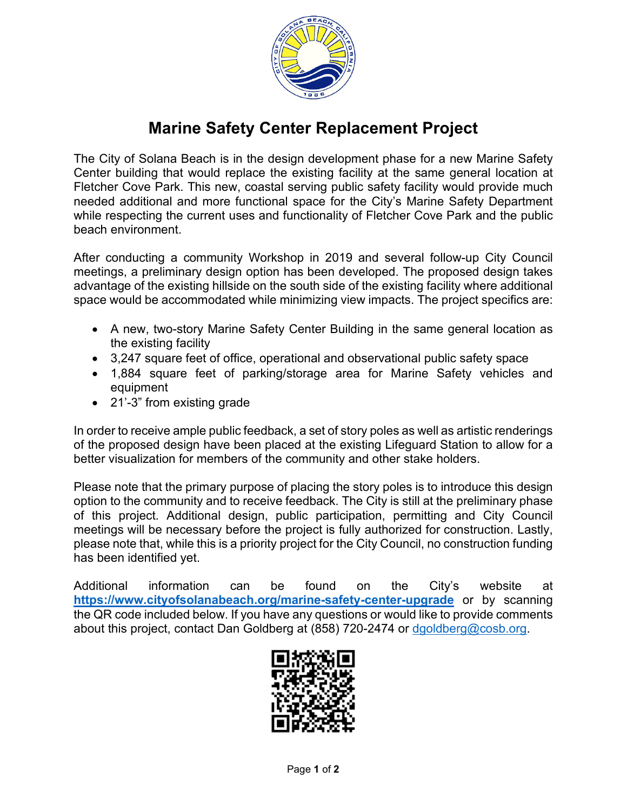

## **Marine Safety Center Replacement Project**

The City of Solana Beach is in the design development phase for a new Marine Safety Center building that would replace the existing facility at the same general location at Fletcher Cove Park. This new, coastal serving public safety facility would provide much needed additional and more functional space for the City's Marine Safety Department while respecting the current uses and functionality of Fletcher Cove Park and the public beach environment.

After conducting a community Workshop in 2019 and several follow-up City Council meetings, a preliminary design option has been developed. The proposed design takes advantage of the existing hillside on the south side of the existing facility where additional space would be accommodated while minimizing view impacts. The project specifics are:

- A new, two-story Marine Safety Center Building in the same general location as the existing facility
- 3,247 square feet of office, operational and observational public safety space
- 1,884 square feet of parking/storage area for Marine Safety vehicles and equipment
- 21'-3" from existing grade

In order to receive ample public feedback, a set of story poles as well as artistic renderings of the proposed design have been placed at the existing Lifeguard Station to allow for a better visualization for members of the community and other stake holders.

Please note that the primary purpose of placing the story poles is to introduce this design option to the community and to receive feedback. The City is still at the preliminary phase of this project. Additional design, public participation, permitting and City Council meetings will be necessary before the project is fully authorized for construction. Lastly, please note that, while this is a priority project for the City Council, no construction funding has been identified yet.

Additional information can be found on the City's website at **<https://www.cityofsolanabeach.org/marine-safety-center-upgrade>** or by scanning the QR code included below. If you have any questions or would like to provide comments about this project, contact Dan Goldberg at (858) 720-2474 or [dgoldberg@cosb.org.](mailto:dgoldberg@cosb.org)